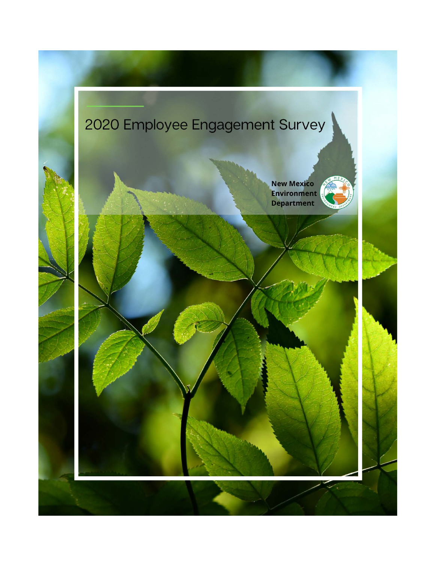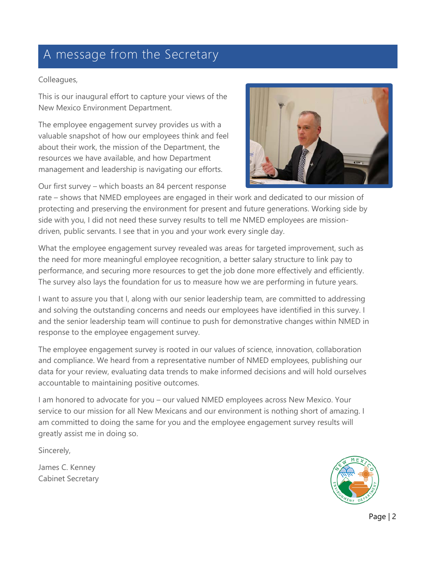### A message from the Secretary

#### Colleagues,

This is our inaugural effort to capture your views of the New Mexico Environment Department.

The employee engagement survey provides us with a valuable snapshot of how our employees think and feel about their work, the mission of the Department, the resources we have available, and how Department management and leadership is navigating our efforts.

Our first survey – which boasts an 84 percent response



rate – shows that NMED employees are engaged in their work and dedicated to our mission of protecting and preserving the environment for present and future generations. Working side by side with you, I did not need these survey results to tell me NMED employees are missiondriven, public servants. I see that in you and your work every single day.

What the employee engagement survey revealed was areas for targeted improvement, such as the need for more meaningful employee recognition, a better salary structure to link pay to performance, and securing more resources to get the job done more effectively and efficiently. The survey also lays the foundation for us to measure how we are performing in future years.

I want to assure you that I, along with our senior leadership team, are committed to addressing and solving the outstanding concerns and needs our employees have identified in this survey. I and the senior leadership team will continue to push for demonstrative changes within NMED in response to the employee engagement survey.

The employee engagement survey is rooted in our values of science, innovation, collaboration and compliance. We heard from a representative number of NMED employees, publishing our data for your review, evaluating data trends to make informed decisions and will hold ourselves accountable to maintaining positive outcomes.

I am honored to advocate for you – our valued NMED employees across New Mexico. Your service to our mission for all New Mexicans and our environment is nothing short of amazing. I am committed to doing the same for you and the employee engagement survey results will greatly assist me in doing so.

Sincerely,

James C. Kenney Cabinet Secretary

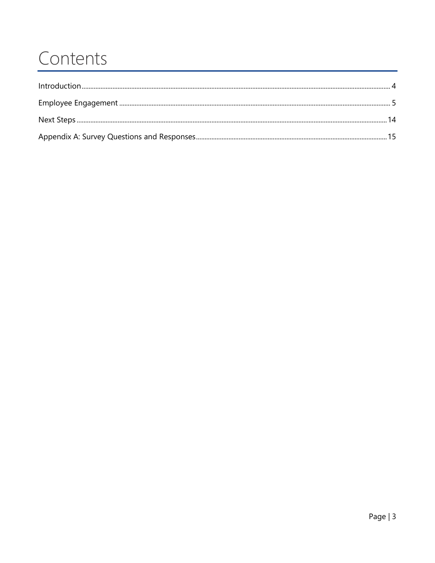### Contents

| Introduction 4 |  |
|----------------|--|
|                |  |
|                |  |
|                |  |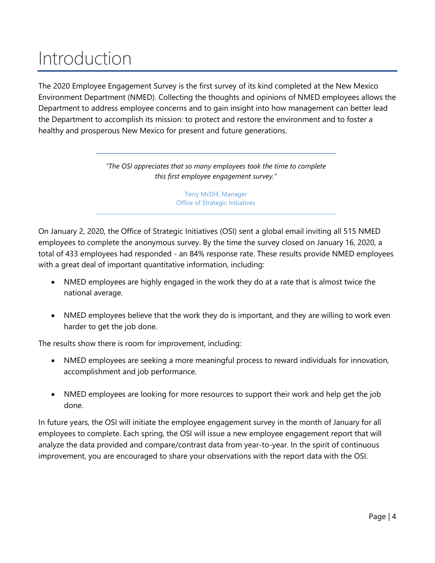## <span id="page-3-0"></span>Introduction

The 2020 Employee Engagement Survey is the first survey of its kind completed at the New Mexico Environment Department (NMED). Collecting the thoughts and opinions of NMED employees allows the Department to address employee concerns and to gain insight into how management can better lead the Department to accomplish its mission*:* to protect and restore the environment and to foster a healthy and prosperous New Mexico for present and future generations.

> *"The OSI appreciates that so many employees took the time to complete this first employee engagement survey."*

> > Terry McDill, Manager Office of Strategic Initiatives

On January 2, 2020, the Office of Strategic Initiatives (OSI) sent a global email inviting all 515 NMED employees to complete the anonymous survey. By the time the survey closed on January 16, 2020, a total of 433 employees had responded - an 84% response rate. These results provide NMED employees with a great deal of important quantitative information, including:

- NMED employees are highly engaged in the work they do at a rate that is almost twice the national average.
- NMED employees believe that the work they do is important, and they are willing to work even harder to get the job done.

The results show there is room for improvement, including:

- NMED employees are seeking a more meaningful process to reward individuals for innovation, accomplishment and job performance.
- NMED employees are looking for more resources to support their work and help get the job done.

In future years, the OSI will initiate the employee engagement survey in the month of January for all employees to complete. Each spring, the OSI will issue a new employee engagement report that will analyze the data provided and compare/contrast data from year-to-year. In the spirit of continuous improvement, you are encouraged to share your observations with the report data with the OSI.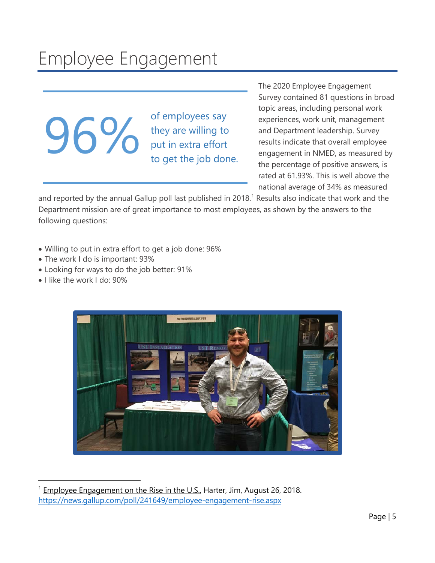## <span id="page-4-0"></span>Employee Engagement

**96%** of employees say<br>they are willing to<br>put in extra effort<br>to get the job dor

they are willing to put in extra effort to get the job done. The 2020 Employee Engagement Survey contained 81 questions in broad topic areas, including personal work experiences, work unit, management and Department leadership. Survey results indicate that overall employee engagement in NMED, as measured by the percentage of positive answers, is rated at 61.93%. This is well above the national average of 34% as measured

and reported by the annual Gallup poll last published in 20[1](#page-4-1)8.<sup>1</sup> Results also indicate that work and the Department mission are of great importance to most employees, as shown by the answers to the following questions:

- Willing to put in extra effort to get a job done: 96%
- The work I do is important: 93%
- Looking for ways to do the job better: 91%
- I like the work I do: 90%

<span id="page-4-1"></span>

Employee Engagement on the Rise in the U.S., Harter, Jim, August 26, 2018. <https://news.gallup.com/poll/241649/employee-engagement-rise.aspx>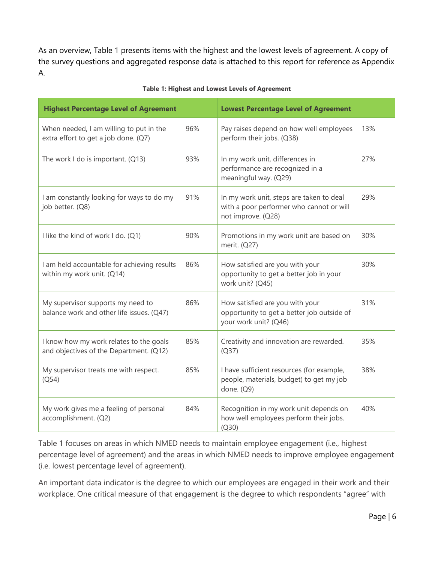As an overview, Table 1 presents items with the highest and the lowest levels of agreement. A copy of the survey questions and aggregated response data is attached to this report for reference as Appendix A.

| <b>Highest Percentage Level of Agreement</b>                                       |     | <b>Lowest Percentage Level of Agreement</b>                                                                |     |
|------------------------------------------------------------------------------------|-----|------------------------------------------------------------------------------------------------------------|-----|
| When needed, I am willing to put in the<br>extra effort to get a job done. (Q7)    | 96% | Pay raises depend on how well employees<br>perform their jobs. (Q38)                                       | 13% |
| The work I do is important. (Q13)                                                  | 93% | In my work unit, differences in<br>performance are recognized in a<br>meaningful way. (Q29)                | 27% |
| I am constantly looking for ways to do my<br>job better. (Q8)                      | 91% | In my work unit, steps are taken to deal<br>with a poor performer who cannot or will<br>not improve. (Q28) | 29% |
| I like the kind of work I do. (Q1)                                                 | 90% | Promotions in my work unit are based on<br>merit. (Q27)                                                    | 30% |
| I am held accountable for achieving results<br>within my work unit. (Q14)          | 86% | How satisfied are you with your<br>opportunity to get a better job in your<br>work unit? (Q45)             | 30% |
| My supervisor supports my need to<br>balance work and other life issues. (Q47)     | 86% | How satisfied are you with your<br>opportunity to get a better job outside of<br>your work unit? (Q46)     | 31% |
| I know how my work relates to the goals<br>and objectives of the Department. (Q12) | 85% | Creativity and innovation are rewarded.<br>(Q37)                                                           | 35% |
| My supervisor treats me with respect.<br>(Q54)                                     | 85% | I have sufficient resources (for example,<br>people, materials, budget) to get my job<br>done. (Q9)        | 38% |
| My work gives me a feeling of personal<br>accomplishment. (Q2)                     | 84% | Recognition in my work unit depends on<br>how well employees perform their jobs.<br>(Q30)                  | 40% |

#### **Table 1: Highest and Lowest Levels of Agreement**

Table 1 focuses on areas in which NMED needs to maintain employee engagement (i.e., highest percentage level of agreement) and the areas in which NMED needs to improve employee engagement (i.e. lowest percentage level of agreement).

An important data indicator is the degree to which our employees are engaged in their work and their workplace. One critical measure of that engagement is the degree to which respondents "agree" with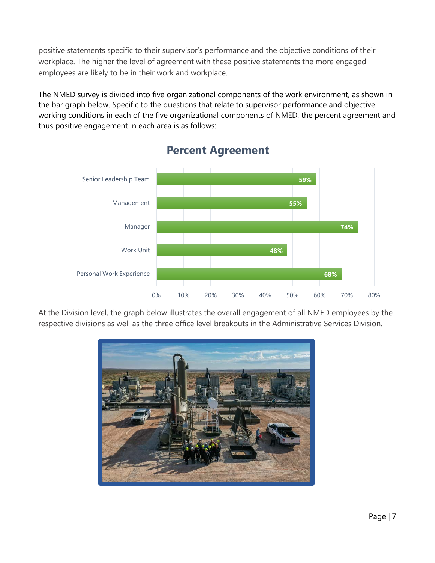positive statements specific to their supervisor's performance and the objective conditions of their workplace. The higher the level of agreement with these positive statements the more engaged employees are likely to be in their work and workplace.

The NMED survey is divided into five organizational components of the work environment, as shown in the bar graph below. Specific to the questions that relate to supervisor performance and objective working conditions in each of the five organizational components of NMED, the percent agreement and thus positive engagement in each area is as follows:



At the Division level, the graph below illustrates the overall engagement of all NMED employees by the respective divisions as well as the three office level breakouts in the Administrative Services Division.

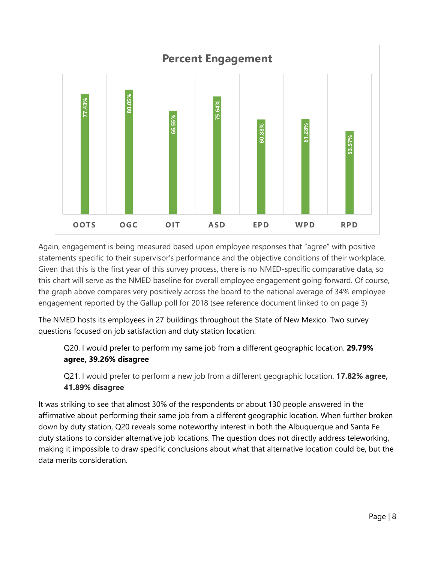

Again, engagement is being measured based upon employee responses that "agree" with positive statements specific to their supervisor's performance and the objective conditions of their workplace. Given that this is the first year of this survey process, there is no NMED-specific comparative data, so this chart will serve as the NMED baseline for overall employee engagement going forward. Of course, the graph above compares very positively across the board to the national average of 34% employee engagement reported by the Gallup poll for 2018 (see reference document linked to on page 3)

The NMED hosts its employees in 27 buildings throughout the State of New Mexico. Two survey questions focused on job satisfaction and duty station location:

Q20. I would prefer to perform my same job from a different geographic location. **29.79% agree, 39.26% disagree**

Q21. I would prefer to perform a new job from a different geographic location. **17.82% agree, 41.89% disagree**

It was striking to see that almost 30% of the respondents or about 130 people answered in the affirmative about performing their same job from a different geographic location. When further broken down by duty station, Q20 reveals some noteworthy interest in both the Albuquerque and Santa Fe duty stations to consider alternative job locations. The question does not directly address teleworking, making it impossible to draw specific conclusions about what that alternative location could be, but the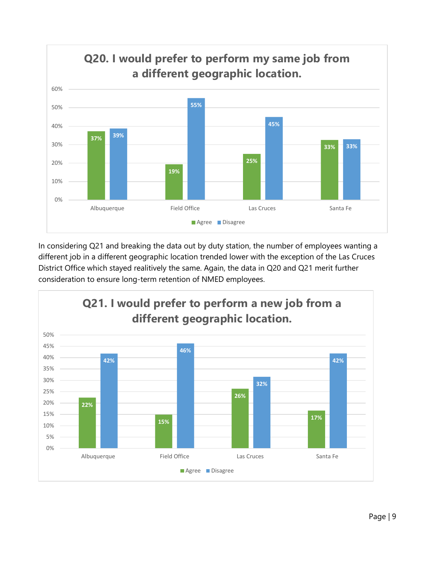

In considering Q21 and breaking the data out by duty station, the number of employees wanting a different job in a different geographic location trended lower with the exception of the Las Cruces District Office which stayed realitively the same. Again, the data in Q20 and Q21 merit further consideration to ensure long-term retention of NMED employees.

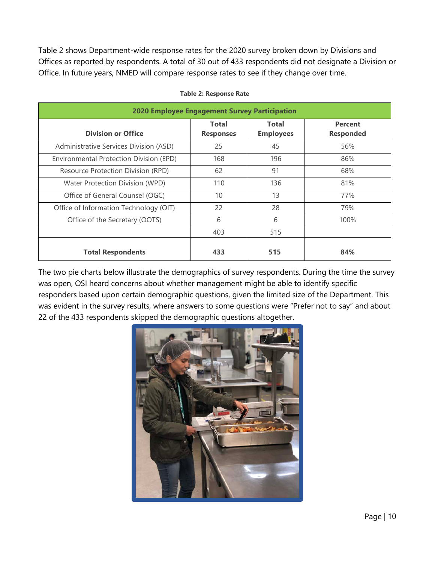Table 2 shows Department-wide response rates for the 2020 survey broken down by Divisions and Offices as reported by respondents. A total of 30 out of 433 respondents did not designate a Division or Office. In future years, NMED will compare response rates to see if they change over time.

| <b>2020 Employee Engagement Survey Participation</b> |                                  |                                  |                                    |  |  |  |  |  |  |  |
|------------------------------------------------------|----------------------------------|----------------------------------|------------------------------------|--|--|--|--|--|--|--|
| <b>Division or Office</b>                            | <b>Total</b><br><b>Responses</b> | <b>Total</b><br><b>Employees</b> | <b>Percent</b><br><b>Responded</b> |  |  |  |  |  |  |  |
| Administrative Services Division (ASD)               | 25                               | 45                               | 56%                                |  |  |  |  |  |  |  |
| Environmental Protection Division (EPD)              | 168                              | 196                              | 86%                                |  |  |  |  |  |  |  |
| Resource Protection Division (RPD)                   | 62                               | 91                               | 68%                                |  |  |  |  |  |  |  |
| Water Protection Division (WPD)                      | 110                              | 136                              | 81%                                |  |  |  |  |  |  |  |
| Office of General Counsel (OGC)                      | 10                               | 13                               | 77%                                |  |  |  |  |  |  |  |
| Office of Information Technology (OIT)               | 22                               | 28                               | 79%                                |  |  |  |  |  |  |  |
| Office of the Secretary (OOTS)                       | 6                                | 6                                | 100%                               |  |  |  |  |  |  |  |
|                                                      | 403                              | 515                              |                                    |  |  |  |  |  |  |  |
| <b>Total Respondents</b>                             | 433                              | 515                              | 84%                                |  |  |  |  |  |  |  |

#### **Table 2: Response Rate**

The two pie charts below illustrate the demographics of survey respondents. During the time the survey was open, OSI heard concerns about whether management might be able to identify specific responders based upon certain demographic questions, given the limited size of the Department. This was evident in the survey results, where answers to some questions were "Prefer not to say" and about 22 of the 433 respondents skipped the demographic questions altogether.

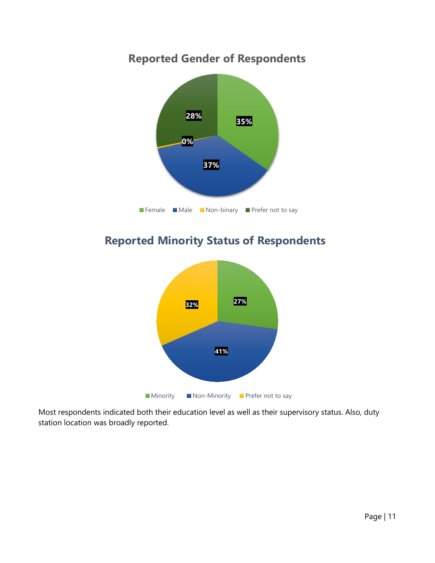### **Reported Gender of Respondents**



### **Reported Minority Status of Respondents**



Most respondents indicated both their education level as well as their supervisory status. Also, duty station location was broadly reported.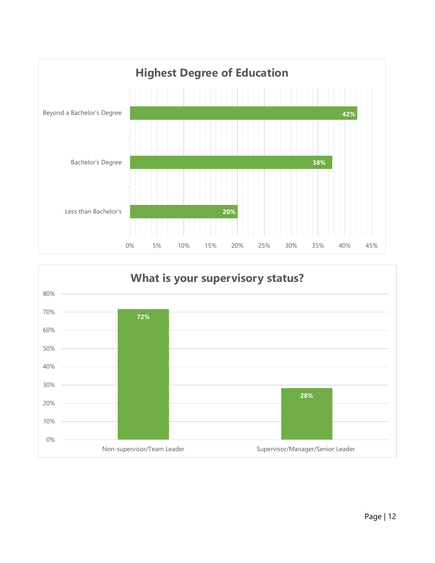

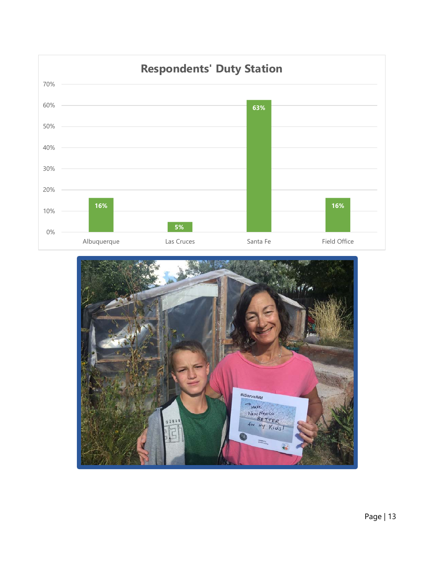

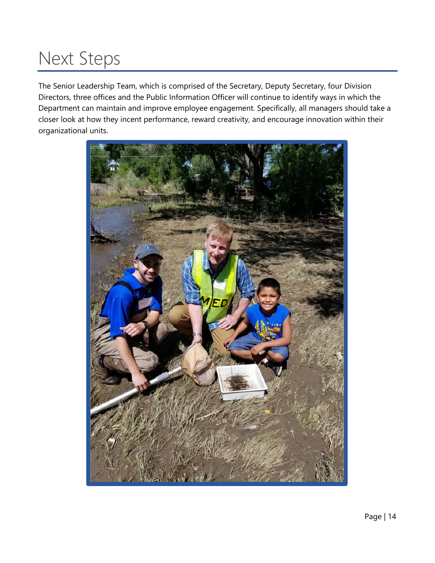## <span id="page-13-0"></span>Next Steps

The Senior Leadership Team, which is comprised of the Secretary, Deputy Secretary, four Division Directors, three offices and the Public Information Officer will continue to identify ways in which the Department can maintain and improve employee engagement. Specifically, all managers should take a closer look at how they incent performance, reward creativity, and encourage innovation within their organizational units.

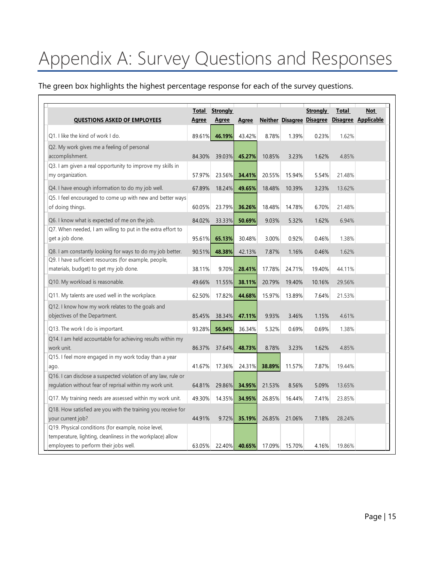# <span id="page-14-0"></span>Appendix A: Survey Questions and Responses

The green box highlights the highest percentage response for each of the survey questions.

|                                                                                                                                                            | Total        | <b>Strongly</b> |              |        |        | <b>Strongly</b>                  | Total  | <b>Not</b>          |
|------------------------------------------------------------------------------------------------------------------------------------------------------------|--------------|-----------------|--------------|--------|--------|----------------------------------|--------|---------------------|
| <b>QUESTIONS ASKED OF EMPLOYEES</b>                                                                                                                        | <u>Agree</u> | <u>Agree</u>    | <b>Agree</b> |        |        | <b>Neither Disagree Disagree</b> |        | Disagree Applicable |
| Q1. I like the kind of work I do.                                                                                                                          | 89.61%       | 46.19%          | 43.42%       | 8.78%  | 1.39%  | 0.23%                            | 1.62%  |                     |
| Q2. My work gives me a feeling of personal<br>accomplishment.                                                                                              | 84.30%       | 39.03%          | 45.27%       | 10.85% | 3.23%  | 1.62%                            | 4.85%  |                     |
| Q3. I am given a real opportunity to improve my skills in<br>my organization.                                                                              | 57.97%       | 23.56%          | 34.41%       | 20.55% | 15.94% | 5.54%                            | 21.48% |                     |
| Q4. I have enough information to do my job well.                                                                                                           | 67.89%       | 18.24%          | 49.65%       | 18.48% | 10.39% | 3.23%                            | 13.62% |                     |
| Q5. I feel encouraged to come up with new and better ways<br>of doing things.                                                                              | 60.05%       | 23.79%          | 36.26%       | 18.48% | 14.78% | 6.70%                            | 21.48% |                     |
| Q6. I know what is expected of me on the job.                                                                                                              | 84.02%       | 33.33%          | 50.69%       | 9.03%  | 5.32%  | 1.62%                            | 6.94%  |                     |
| Q7. When needed, I am willing to put in the extra effort to<br>get a job done.                                                                             | 95.61%       | 65.13%          | 30.48%       | 3.00%  | 0.92%  | 0.46%                            | 1.38%  |                     |
| Q8. I am constantly looking for ways to do my job better.                                                                                                  | 90.51%       | 48.38%          | 42.13%       | 7.87%  | 1.16%  | 0.46%                            | 1.62%  |                     |
| Q9. I have sufficient resources (for example, people,<br>materials, budget) to get my job done.                                                            | 38.11%       | 9.70%           | 28.41%       | 17.78% | 24.71% | 19.40%                           | 44.11% |                     |
| Q10. My workload is reasonable.                                                                                                                            | 49.66%       | 11.55%          | 38.11%       | 20.79% | 19.40% | 10.16%                           | 29.56% |                     |
| Q11. My talents are used well in the workplace.                                                                                                            | 62.50%       | 17.82%          | 44.68%       | 15.97% | 13.89% | 7.64%                            | 21.53% |                     |
| Q12. I know how my work relates to the goals and<br>objectives of the Department.                                                                          | 85.45%       | 38.34%          | 47.11%       | 9.93%  | 3.46%  | 1.15%                            | 4.61%  |                     |
| Q13. The work I do is important.                                                                                                                           | 93.28%       | 56.94%          | 36.34%       | 5.32%  | 0.69%  | 0.69%                            | 1.38%  |                     |
| Q14. I am held accountable for achieving results within my<br>work unit.                                                                                   | 86.37%       | 37.64%          | 48.73%       | 8.78%  | 3.23%  | 1.62%                            | 4.85%  |                     |
| Q15. I feel more engaged in my work today than a year<br>ago.                                                                                              | 41.67%       | 17.36%          | 24.31%       | 38.89% | 11.57% | 7.87%                            | 19.44% |                     |
| Q16. I can disclose a suspected violation of any law, rule or<br>regulation without fear of reprisal within my work unit.                                  | 64.81%       | 29.86%          | 34.95%       | 21.53% | 8.56%  | 5.09%                            | 13.65% |                     |
| Q17. My training needs are assessed within my work unit.                                                                                                   | 49.30%       | 14.35%          | 34.95%       | 26.85% | 16.44% | 7.41%                            | 23.85% |                     |
| Q18. How satisfied are you with the training you receive for<br>your current job?                                                                          | 44.91%       | 9.72%           | 35.19%       | 26.85% | 21.06% | 7.18%                            | 28.24% |                     |
| Q19. Physical conditions (for example, noise level,<br>temperature, lighting, cleanliness in the workplace) allow<br>employees to perform their jobs well. | 63.05%       | 22.40%          | 40.65%       | 17.09% | 15.70% | 4.16%                            | 19.86% |                     |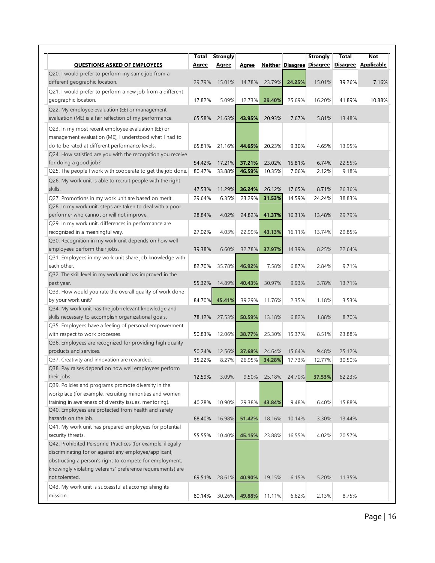|                                                                                                                  | Total        | <b>Strongly</b> |              |        |                         | <b>Strongly</b> | Total  | <b>Not</b>          |
|------------------------------------------------------------------------------------------------------------------|--------------|-----------------|--------------|--------|-------------------------|-----------------|--------|---------------------|
| <b>QUESTIONS ASKED OF EMPLOYEES</b>                                                                              | <b>Agree</b> | <b>Agree</b>    | <b>Agree</b> |        | <b>Neither Disagree</b> | <b>Disagree</b> |        | Disagree Applicable |
| Q20. I would prefer to perform my same job from a                                                                |              |                 |              |        |                         |                 |        |                     |
| different geographic location.                                                                                   | 29.79%       | 15.01%          | 14.78%       | 23.79% | 24.25%                  | 15.01%          | 39.26% | 7.16%               |
| Q21. I would prefer to perform a new job from a different                                                        |              |                 |              |        |                         |                 |        |                     |
| geographic location.                                                                                             | 17.82%       | 5.09%           | 12.73%       | 29.40% | 25.69%                  | 16.20%          | 41.89% | 10.88%              |
| Q22. My employee evaluation (EE) or management                                                                   |              |                 |              |        |                         |                 |        |                     |
| evaluation (ME) is a fair reflection of my performance.                                                          | 65.58%       | 21.63%          | 43.95%       | 20.93% | 7.67%                   | 5.81%           | 13.48% |                     |
|                                                                                                                  |              |                 |              |        |                         |                 |        |                     |
| Q23. In my most recent employee evaluation (EE) or<br>management evaluation (ME), I understood what I had to     |              |                 |              |        |                         |                 |        |                     |
| do to be rated at different performance levels.                                                                  |              |                 |              | 20.23% |                         | 4.65%           |        |                     |
| Q24. How satisfied are you with the recognition you receive                                                      | 65.81%       | 21.16%          | 44.65%       |        | 9.30%                   |                 | 13.95% |                     |
| for doing a good job?                                                                                            | 54.42%       | 17.21%          | 37.21%       | 23.02% | 15.81%                  | 6.74%           | 22.55% |                     |
| Q25. The people I work with cooperate to get the job done.                                                       | 80.47%       | 33.88%          | 46.59%       | 10.35% | 7.06%                   | 2.12%           | 9.18%  |                     |
|                                                                                                                  |              |                 |              |        |                         |                 |        |                     |
| Q26. My work unit is able to recruit people with the right<br>skills.                                            |              |                 | 36.24%       | 26.12% |                         |                 | 26.36% |                     |
|                                                                                                                  | 47.53%       | 11.29%          |              |        | 17.65%                  | 8.71%           |        |                     |
| Q27. Promotions in my work unit are based on merit.<br>Q28. In my work unit, steps are taken to deal with a poor | 29.64%       | 6.35%           | 23.29%       | 31.53% | 14.59%                  | 24.24%          | 38.83% |                     |
| performer who cannot or will not improve.                                                                        |              |                 |              |        |                         |                 | 29.79% |                     |
| Q29. In my work unit, differences in performance are                                                             | 28.84%       | 4.02%           | 24.82%       | 41.37% | 16.31%                  | 13.48%          |        |                     |
| recognized in a meaningful way.                                                                                  | 27.02%       | 4.03%           | 22.99%       | 43.13% | 16.11%                  | 13.74%          | 29.85% |                     |
| Q30. Recognition in my work unit depends on how well                                                             |              |                 |              |        |                         |                 |        |                     |
| employees perform their jobs.                                                                                    | 39.38%       | 6.60%           | 32.78%       | 37.97% | 14.39%                  | 8.25%           | 22.64% |                     |
| Q31. Employees in my work unit share job knowledge with                                                          |              |                 |              |        |                         |                 |        |                     |
| each other.                                                                                                      | 82.70%       | 35.78%          | 46.92%       | 7.58%  | 6.87%                   | 2.84%           | 9.71%  |                     |
| Q32. The skill level in my work unit has improved in the                                                         |              |                 |              |        |                         |                 |        |                     |
| past year.                                                                                                       | 55.32%       | 14.89%          | 40.43%       | 30.97% | 9.93%                   | 3.78%           | 13.71% |                     |
| Q33. How would you rate the overall quality of work done                                                         |              |                 |              |        |                         |                 |        |                     |
| by your work unit?                                                                                               | 84.70%       | 45.41%          | 39.29%       | 11.76% | 2.35%                   | 1.18%           | 3.53%  |                     |
| Q34. My work unit has the job-relevant knowledge and                                                             |              |                 |              |        |                         |                 |        |                     |
| skills necessary to accomplish organizational goals.                                                             | 78.12%       | 27.53%          | 50.59%       | 13.18% | 6.82%                   | 1.88%           | 8.70%  |                     |
| Q35. Employees have a feeling of personal empowerment                                                            |              |                 |              |        |                         |                 |        |                     |
| with respect to work processes.                                                                                  | 50.83%       | 12.06%          | 38.77%       | 25.30% | 15.37%                  | 8.51%           | 23.88% |                     |
| Q36. Employees are recognized for providing high quality                                                         |              |                 |              |        |                         |                 |        |                     |
| products and services.                                                                                           | 50.24%       | 12.56%          | 37.68%       | 24.64% | 15.64%                  | 9.48%           | 25.12% |                     |
| Q37. Creativity and innovation are rewarded.                                                                     | 35.22%       | 8.27%           | 26.95%       | 34.28% | 17.73%                  | 12.77%          | 30.50% |                     |
| Q38. Pay raises depend on how well employees perform                                                             |              |                 |              |        |                         |                 |        |                     |
| their jobs.                                                                                                      | 12.59%       | 3.09%           | 9.50%        | 25.18% | 24.70%                  | 37.53%          | 62.23% |                     |
| Q39. Policies and programs promote diversity in the                                                              |              |                 |              |        |                         |                 |        |                     |
| workplace (for example, recruiting minorities and women,                                                         |              |                 |              |        |                         |                 |        |                     |
| training in awareness of diversity issues, mentoring).                                                           | 40.28%       | 10.90%          | 29.38%       | 43.84% | 9.48%                   | 6.40%           | 15.88% |                     |
| Q40. Employees are protected from health and safety                                                              |              |                 |              |        |                         |                 |        |                     |
| hazards on the job.                                                                                              | 68.40%       | 16.98%          | 51.42%       | 18.16% | 10.14%                  | 3.30%           | 13.44% |                     |
| Q41. My work unit has prepared employees for potential                                                           |              |                 |              |        |                         |                 |        |                     |
| security threats.                                                                                                | 55.55%       | 10.40%          | 45.15%       | 23.88% | 16.55%                  | 4.02%           | 20.57% |                     |
| Q42. Prohibited Personnel Practices (for example, illegally                                                      |              |                 |              |        |                         |                 |        |                     |
| discriminating for or against any employee/applicant,                                                            |              |                 |              |        |                         |                 |        |                     |
| obstructing a person's right to compete for employment,                                                          |              |                 |              |        |                         |                 |        |                     |
| knowingly violating veterans' preference requirements) are                                                       |              |                 |              |        |                         |                 |        |                     |
| not tolerated.                                                                                                   | 69.51%       | 28.61%          | 40.90%       | 19.15% | 6.15%                   | 5.20%           | 11.35% |                     |
| Q43. My work unit is successful at accomplishing its                                                             |              |                 |              |        |                         |                 |        |                     |
| mission.                                                                                                         | 80.14%       | 30.26%          | 49.88%       | 11.11% | 6.62%                   | 2.13%           | 8.75%  |                     |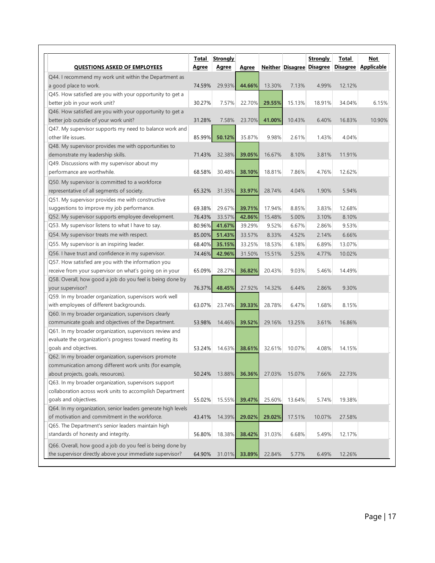|                                                              | <u>Total</u> | <b>Strongly</b> |                  |        |        | Strongly                  | Total  | Not                   |
|--------------------------------------------------------------|--------------|-----------------|------------------|--------|--------|---------------------------|--------|-----------------------|
| <b>QUESTIONS ASKED OF EMPLOYEES</b>                          | <u>Agree</u> | Agree           | Agree            |        |        | Neither Disagree Disagree |        | Disagree   Applicable |
| Q44. I recommend my work unit within the Department as       |              |                 |                  |        |        |                           |        |                       |
| a good place to work.                                        | 74.59%       | 29.93%          | 44.66%           | 13.30% | 7.13%  | 4.99%                     | 12.12% |                       |
| Q45. How satisfied are you with your opportunity to get a    |              |                 |                  |        |        |                           |        |                       |
| better job in your work unit?                                | 30.27%       | 7.57%           | 22.70%           | 29.55% | 15.13% | 18.91%                    | 34.04% | 6.15%                 |
| Q46. How satisfied are you with your opportunity to get a    |              |                 |                  |        |        |                           |        |                       |
| better job outside of your work unit?                        | 31.28%       | 7.58%           | 23.70%           | 41.00% | 10.43% | 6.40%                     | 16.83% | 10.90%                |
| Q47. My supervisor supports my need to balance work and      |              |                 |                  |        |        |                           |        |                       |
| other life issues.                                           | 85.99%       | 50.12%          | 35.87%           | 9.98%  | 2.61%  | 1.43%                     | 4.04%  |                       |
| Q48. My supervisor provides me with opportunities to         |              |                 |                  |        |        |                           |        |                       |
| demonstrate my leadership skills.                            | 71.43%       | 32.38%          | 39.05%           | 16.67% | 8.10%  | 3.81%                     | 11.91% |                       |
| Q49. Discussions with my supervisor about my                 |              |                 |                  |        |        |                           |        |                       |
| performance are worthwhile.                                  | 68.58%       | 30.48%          | 38.10%           | 18.81% | 7.86%  | 4.76%                     | 12.62% |                       |
| Q50. My supervisor is committed to a workforce               |              |                 |                  |        |        |                           |        |                       |
| representative of all segments of society.                   | 65.32%       | 31.35%          | 33.97%           | 28.74% | 4.04%  | 1.90%                     | 5.94%  |                       |
| Q51. My supervisor provides me with constructive             |              |                 |                  |        |        |                           |        |                       |
| suggestions to improve my job performance.                   | 69.38%       | 29.67%          |                  | 17.94% | 8.85%  | 3.83%                     | 12.68% |                       |
| Q52. My supervisor supports employee development.            | 76.43%       | 33.57%          | 39.71%<br>42.86% | 15.48% | 5.00%  | 3.10%                     | 8.10%  |                       |
| Q53. My supervisor listens to what I have to say.            | 80.96%       |                 | 39.29%           |        |        | 2.86%                     | 9.53%  |                       |
|                                                              |              | 41.67%          |                  | 9.52%  | 6.67%  |                           |        |                       |
| Q54. My supervisor treats me with respect.                   | 85.00%       | 51.43%          | 33.57%           | 8.33%  | 4.52%  | 2.14%                     | 6.66%  |                       |
| Q55. My supervisor is an inspiring leader.                   | 68.40%       | 35.15%          | 33.25%           | 18.53% | 6.18%  | 6.89%                     | 13.07% |                       |
| Q56. I have trust and confidence in my supervisor.           | 74.46%       | 42.96%          | 31.50%           | 15.51% | 5.25%  | 4.77%                     | 10.02% |                       |
| Q57. How satisfied are you with the information you          |              |                 |                  |        |        |                           |        |                       |
| receive from your supervisor on what's going on in your      | 65.09%       | 28.27%          | 36.82%           | 20.43% | 9.03%  | 5.46%                     | 14.49% |                       |
| Q58. Overall, how good a job do you feel is being done by    |              |                 |                  |        |        |                           |        |                       |
| your supervisor?                                             | 76.37%       | 48.45%          | 27.92%           | 14.32% | 6.44%  | 2.86%                     | 9.30%  |                       |
| Q59. In my broader organization, supervisors work well       |              |                 |                  |        |        |                           |        |                       |
| with employees of different backgrounds.                     | 63.07%       | 23.74%          | 39.33%           | 28.78% | 6.47%  | 1.68%                     | 8.15%  |                       |
| Q60. In my broader organization, supervisors clearly         |              |                 |                  |        |        |                           |        |                       |
| communicate goals and objectives of the Department.          | 53.98%       | 14.46%          | 39.52%           | 29.16% | 13.25% | 3.61%                     | 16.86% |                       |
| Q61. In my broader organization, supervisors review and      |              |                 |                  |        |        |                           |        |                       |
| evaluate the organization's progress toward meeting its      |              |                 |                  |        |        |                           |        |                       |
| goals and objectives.                                        | 53.24%       | 14.63%          | 38.61%           | 32.61% | 10.07% | 4.08%                     | 14.15% |                       |
| Q62. In my broader organization, supervisors promote         |              |                 |                  |        |        |                           |        |                       |
| communication among different work units (for example,       |              |                 |                  |        |        |                           |        |                       |
| about projects, goals, resources).                           | 50.24%       | 13.88%          | 36.36%           | 27.03% | 15.07% | 7.66%                     | 22.73% |                       |
| Q63. In my broader organization, supervisors support         |              |                 |                  |        |        |                           |        |                       |
| collaboration across work units to accomplish Department     |              |                 |                  |        |        |                           |        |                       |
| goals and objectives.                                        | 55.02%       | 15.55%          | 39.47%           | 25.60% | 13.64% | 5.74%                     | 19.38% |                       |
| Q64. In my organization, senior leaders generate high levels |              |                 |                  |        |        |                           |        |                       |
| of motivation and commitment in the workforce.               | 43.41%       | 14.39%          | 29.02%           | 29.02% | 17.51% | 10.07%                    | 27.58% |                       |
| Q65. The Department's senior leaders maintain high           |              |                 |                  |        |        |                           |        |                       |
| standards of honesty and integrity.                          | 56.80%       | 18.38%          | 38.42%           | 31.03% | 6.68%  | 5.49%                     | 12.17% |                       |
| Q66. Overall, how good a job do you feel is being done by    |              |                 |                  |        |        |                           |        |                       |
| the supervisor directly above your immediate supervisor?     | 64.90%       | 31.01%          | 33.89%           | 22.84% | 5.77%  | 6.49%                     | 12.26% |                       |